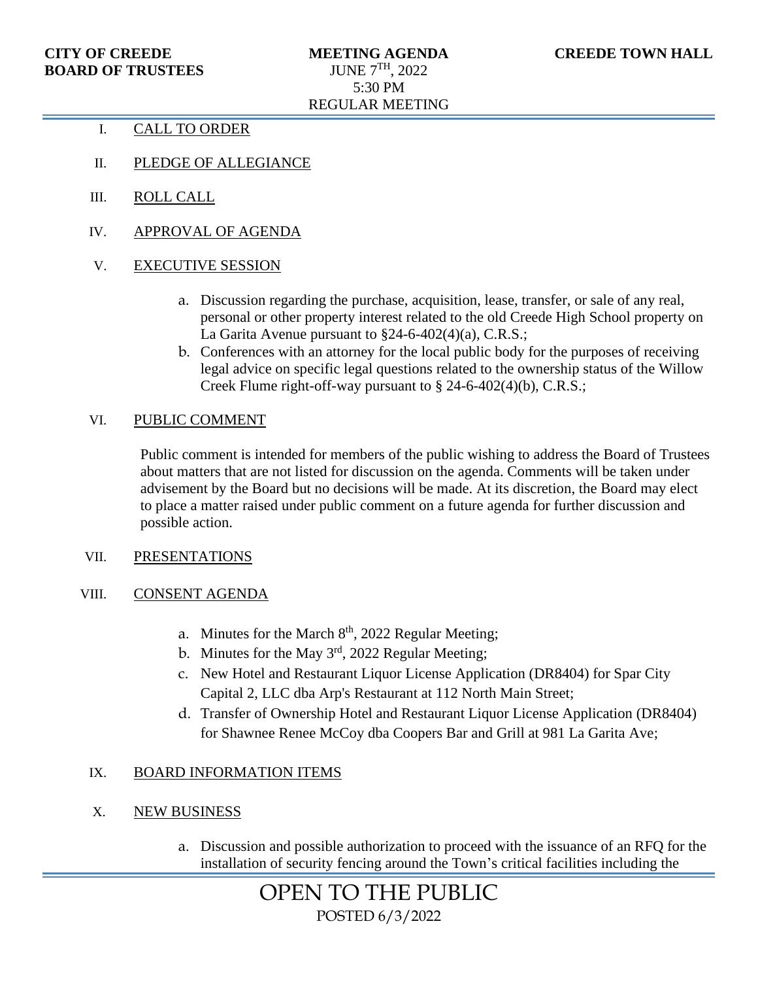- I. CALL TO ORDER
- II. PLEDGE OF ALLEGIANCE
- III. ROLL CALL
- IV. APPROVAL OF AGENDA
- V. EXECUTIVE SESSION
	- a. Discussion regarding the purchase, acquisition, lease, transfer, or sale of any real, personal or other property interest related to the old Creede High School property on La Garita Avenue pursuant to §24-6-402(4)(a), C.R.S.;
	- b. Conferences with an attorney for the local public body for the purposes of receiving legal advice on specific legal questions related to the ownership status of the Willow Creek Flume right-off-way pursuant to § 24-6-402(4)(b), C.R.S.;

### VI. PUBLIC COMMENT

Public comment is intended for members of the public wishing to address the Board of Trustees about matters that are not listed for discussion on the agenda. Comments will be taken under advisement by the Board but no decisions will be made. At its discretion, the Board may elect to place a matter raised under public comment on a future agenda for further discussion and possible action.

#### VII. PRESENTATIONS

### VIII. CONSENT AGENDA

- a. Minutes for the March  $8<sup>th</sup>$ , 2022 Regular Meeting;
- b. Minutes for the May 3<sup>rd</sup>, 2022 Regular Meeting;
- c. New Hotel and Restaurant Liquor License Application (DR8404) for Spar City Capital 2, LLC dba Arp's Restaurant at 112 North Main Street;
- d. Transfer of Ownership Hotel and Restaurant Liquor License Application (DR8404) for Shawnee Renee McCoy dba Coopers Bar and Grill at 981 La Garita Ave;

# IX. BOARD INFORMATION ITEMS

# X. NEW BUSINESS

a. Discussion and possible authorization to proceed with the issuance of an RFQ for the installation of security fencing around the Town's critical facilities including the

> OPEN TO THE PUBLIC POSTED 6/3/2022